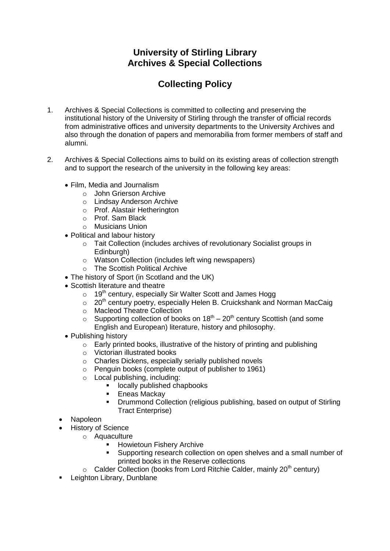## **University of Stirling Library Archives & Special Collections**

## **Collecting Policy**

- 1. Archives & Special Collections is committed to collecting and preserving the institutional history of the University of Stirling through the transfer of official records from administrative offices and university departments to the University Archives and also through the donation of papers and memorabilia from former members of staff and alumni.
- 2. Archives & Special Collections aims to build on its existing areas of collection strength and to support the research of the university in the following key areas:
	- Film, Media and Journalism
		- o John Grierson Archive
		- o Lindsay Anderson Archive
		- o Prof. Alastair Hetherington
		- o Prof. Sam Black
		- o Musicians Union
	- Political and labour history
		- o Tait Collection (includes archives of revolutionary Socialist groups in Edinburgh)
		- o Watson Collection (includes left wing newspapers)
		- o The Scottish Political Archive
	- The history of Sport (in Scotland and the UK)
	- Scottish literature and theatre
		- $\circ$  19<sup>th</sup> century, especially Sir Walter Scott and James Hogg
		- $\circ$  20<sup>th</sup> century poetry, especially Helen B. Cruickshank and Norman MacCaig
		- o Macleod Theatre Collection
		- $\circ$  Supporting collection of books on 18<sup>th</sup> 20<sup>th</sup> century Scottish (and some English and European) literature, history and philosophy.
	- Publishing history
		- o Early printed books, illustrative of the history of printing and publishing
		- o Victorian illustrated books
		- o Charles Dickens, especially serially published novels
		- o Penguin books (complete output of publisher to 1961)
		- o Local publishing, including:
			- **If** locally published chapbooks
			- **Eneas Mackay**
			- **•** Drummond Collection (religious publishing, based on output of Stirling Tract Enterprise)
	- Napoleon
	- History of Science
		- o Aquaculture
			- Howietoun Fishery Archive
			- Supporting research collection on open shelves and a small number of printed books in the Reserve collections
			- $\circ$  Calder Collection (books from Lord Ritchie Calder, mainly 20<sup>th</sup> century)
	- **Leighton Library, Dunblane**